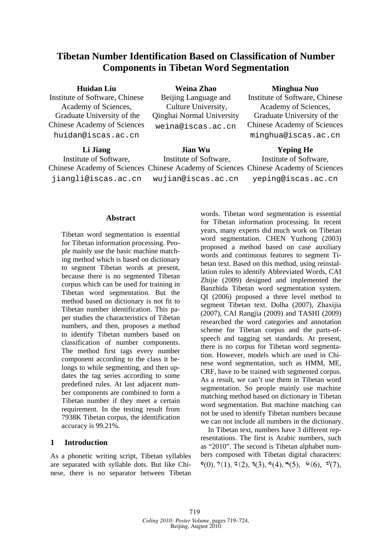# **Tibetan Number Identification Based on Classification of Number Components in Tibetan Word Segmentation**

| <b>Huidan Liu</b>                          | Weina Zhao                                                | Minghua Nuo                        |  |
|--------------------------------------------|-----------------------------------------------------------|------------------------------------|--|
| Institute of Software, Chinese             | Beijing Language and                                      | Institute of Software, Chinese     |  |
| Academy of Sciences,                       | Culture University,                                       | Academy of Sciences,               |  |
| Graduate University of the                 | Qinghai Normal University                                 | Graduate University of the         |  |
| <b>Chinese Academy of Sciences</b>         | weina@iscas.ac.cn                                         | <b>Chinese Academy of Sciences</b> |  |
| huidan@iscas.ac.cn                         |                                                           | minghua@iscas.ac.cn                |  |
| $\mathbf{I}$ : $\mathbf{I}$ : $\mathbf{I}$ | $\mathbf{I}$ : $\mathbf{I}$ , $\mathbf{I}$ , $\mathbf{I}$ | $V_{\rm em}$ is a H <sub>a</sub>   |  |

**Li Jiang**  Institute of Software, Chinese Academy of Sciences Chinese Academy of Sciences Chinese Academy of Sciences jiangli@iscas.ac.cn **Jian Wu**  Institute of Software, wujian@iscas.ac.cn **Yeping He**  Institute of Software, yeping@iscas.ac.cn

#### **Abstract**

Tibetan word segmentation is essential for Tibetan information processing. People mainly use the basic machine matching method which is based on dictionary to segment Tibetan words at present, because there is no segmented Tibetan corpus which can be used for training in Tibetan word segmentation. But the method based on dictionary is not fit to Tibetan number identification. This paper studies the characteristics of Tibetan numbers, and then, proposes a method to identify Tibetan numbers based on classification of number components. The method first tags every number component according to the class it belongs to while segmenting, and then updates the tag series according to some predefined rules. At last adjacent number components are combined to form a Tibetan number if they meet a certain requirement. In the testing result from 7938K Tibetan corpus, the identification accuracy is 99.21%.

# **1 Introduction**

As a phonetic writing script, Tibetan syllables are separated with syllable dots. But like Chinese, there is no separator between Tibetan words. Tibetan word segmentation is essential for Tibetan information processing. In recent years, many experts did much work on Tibetan word segmentation. CHEN Yuzhong (2003) proposed a method based on case auxiliary words and continuous features to segment Tibetan text. Based on this method, using reinstallation rules to identify Abbreviated Words, CAI Zhijie (2009) designed and implemented the Banzhida Tibetan word segmentation system. QI (2006) proposed a three level method to segment Tibetan text. Dolha (2007), Zhaxijia (2007), CAI Rangjia (2009) and TASHI (2009) researched the word categories and annotation scheme for Tibetan corpus and the parts-ofspeech and tagging set standards. At present, there is no corpus for Tibetan word segmentation. However, models which are used in Chinese word segmentation, such as HMM, ME, CRF, have to be trained with segmented corpus. As a result, we can't use them in Tibetan word segmentation. So people mainly use machine matching method based on dictionary in Tibetan word segmentation. But machine matching can not be used to identify Tibetan numbers because we can not include all numbers in the dictionary.

In Tibetan text, numbers have 3 different representations. The first is Arabic numbers, such as "2010". The second is Tibetan alphabet numbers composed with Tibetan digital characters:  $\mathcal{O}(0), \mathcal{O}(1), \mathcal{O}(2), \mathcal{O}(3), \mathcal{O}(4), \mathcal{O}(5), \mathcal{O}(6), \mathcal{O}(7),$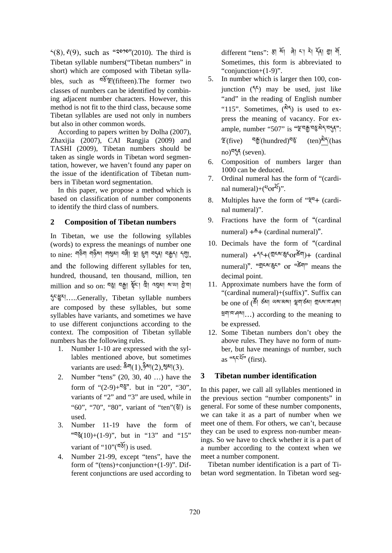$\zeta(8)$ ,  $\mathfrak{e}(9)$ , such as " $3^{\circ}$ (2010). The third is Tibetan syllable numbers("Tibetan numbers" in short) which are composed with Tibetan syllables, such as  $\frac{55}{9}$ [fifteen]. The former two classes of numbers can be identified by combining adjacent number characters. However, this method is not fit to the third class, because some Tibetan syllables are used not only in numbers but also in other common words.

According to papers written by Dolha (2007), Zhaxijia (2007), CAI Rangjia (2009) and TASHI (2009), Tibetan numbers should be taken as single words in Tibetan word segmentation, however, we haven't found any paper on the issue of the identification of Tibetan numbers in Tibetan word segmentation.

In this paper, we propose a method which is based on classification of number components to identify the third class of numbers.

# **2 Composition of Tibetan numbers**

In Tibetan, we use the following syllables (words) to express the meanings of number one to nine: শুক্তৰ শুষ্টুৰা নপ্তমা ব্ৰৰী স্থা হ্ৰুন ব্ৰ্ন্তা ব্ৰূনা ন্য়া, and the following different syllables for ten, hundred, thousand, ten thousand, million, ten million and so on: ন্থ্ৰা নক্কা স্কুঁ<sup>়া</sup> দ্বী ন্ম্বৰুগ মন্দ্ৰা ট্ৰ'না

དུང་ཕྱུར།…..Generally, Tibetan syllable numbers are composed by these syllables, but some syllables have variants, and sometimes we have to use different conjunctions according to the context. The composition of Tibetan syllable numbers has the following rules.

- 1. Number 1-10 are expressed with the syllables mentioned above, but sometimes variants are used: ཆིག(1),ཉིས།(2),སུམ།(3).
- 2. Number "tens" (20, 30, 40 …) have the form of " $(2-9)$ + $\nabla$ §". but in "20", "30", variants of "2" and "3" are used, while in "60", "70", "80", variant of "ten"(ཅུ།) is used.
- 3. Number 11-19 have the form of " $\sqrt[4]{(10)+(1-9)}$ ", but in "13" and "15" variant of " $10$ "(བརོོ།) is used.
- 4. Number 21-99, except "tens", have the form of "(tens)+conjunction+(1-9)". Different conjunctions are used according to

different "tens": हा आँ ले हा है। देखा शु में Sometimes, this form is abbreviated to "conjunction+(1-9)".

- 5. In number which is larger then 100, conjunction  $(55)$  may be used, just like "and" in the reading of English number "115". Sometimes,  $(\lambda^3 5)$  is used to express the meaning of vacancy. For example, number "507" is "ལྔ་བརྒྱ་བཅུ་མེད་བདུན":  $\mathfrak{F}(\text{five})$  བརྒྱོ་(hundred)བསྲོ་ (ten)མིད་(has no)བདན (seven).
- 6. Composition of numbers larger than 1000 can be deduced.
- 7. Ordinal numeral has the form of "(cardinal numeral)+ $({}^{5}Or^{2}V)$ ".
- 8. Multiples have the form of "ལྡབ+ (cardinal numeral)".
- 9. Fractions have the form of "(cardinal numeral)  $+\bar{6}$  + (cardinal numeral)".
- 10. Decimals have the form of "(cardinal numeral) +དང+(གངས་རྒྱངorརོནོག)+ (cardinal numeral)". "གྲངས་ཆུང" or "ཚེག" means the decimal point.
- 11. Approximate numbers have the form of "(cardinal numeral)+(suffix)". Suffix can be one of (ཚོ། ཙམ། ཡས་མས། ལྷག་ཙམ། གྲངས་ཁ་ཤས། ཕྲག་ཁ་ཤས།…) according to the meaning to be expressed.
- 12. Some Tibetan numbers don't obey the above rules. They have no form of number, but have meanings of number, such as  $\sqrt[45]{x^{2}}$  (first).

# **3 Tibetan number identification**

In this paper, we call all syllables mentioned in the previous section "number components" in general. For some of these number components, we can take it as a part of number when we meet one of them. For others, we can't, because they can be used to express non-number meanings. So we have to check whether it is a part of a number according to the context when we meet a number component.

Tibetan number identification is a part of Tibetan word segmentation. In Tibetan word seg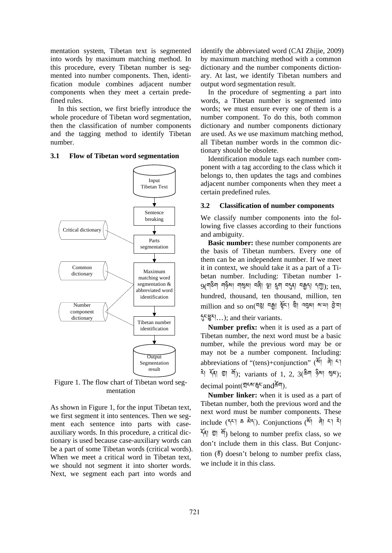mentation system, Tibetan text is segmented into words by maximum matching method. In this procedure, every Tibetan number is segmented into number components. Then, identification module combines adjacent number components when they meet a certain predefined rules.

In this section, we first briefly introduce the whole procedure of Tibetan word segmentation, then the classification of number components and the tagging method to identify Tibetan number.



#### **3.1 Flow of Tibetan word segmentation**

Figure 1. The flow chart of Tibetan word segmentation

As shown in Figure 1, for the input Tibetan text, we first segment it into sentences. Then we segment each sentence into parts with caseauxiliary words. In this procedure, a critical dictionary is used because case-auxiliary words can be a part of some Tibetan words (critical words). When we meet a critical word in Tibetan text, we should not segment it into shorter words. Next, we segment each part into words and

identify the abbreviated word (CAI Zhijie, 2009) by maximum matching method with a common dictionary and the number components dictionary. At last, we identify Tibetan numbers and output word segmentation result.

In the procedure of segmenting a part into words, a Tibetan number is segmented into words; we must ensure every one of them is a number component. To do this, both common dictionary and number components dictionary are used. As we use maximum matching method, all Tibetan number words in the common dictionary should be obsolete.

Identification module tags each number component with a tag according to the class which it belongs to, then updates the tags and combines adjacent number components when they meet a certain predefined rules.

#### **3.2 Classification of number components**

We classify number components into the following five classes according to their functions and ambiguity.

**Basic number:** these number components are the basis of Tibetan numbers. Every one of them can be an independent number. If we meet it in context, we should take it as a part of a Tibetan number. Including: Tibetan number 1-  $9$ (শঙ্কীশ শঙ্কীশ শঙ্কী। প্লী হুশ ব্যব্য বক্কুনা ন্মা); ten, hundred, thousand, ten thousand, million, ten million and so on(ন্ত্ত্বা নক্ক্ৰা ষ্ট্ৰনা ব্ৰহ্মা ৰাখ্যা হ্ৰানা དུང་ཕྱུར།…); and their variants.

**Number prefix:** when it is used as a part of Tibetan number, the next word must be a basic number, while the previous word may be or may not be a number component. Including: abbreviations of "(tens)+conjunction" (སོ། ཞེ། ང་།  $\frac{2}{3}$   $\frac{2}{3}$   $\frac{2}{3}$   $\frac{2}{3}$   $\frac{2}{3}$   $\frac{2}{3}$   $\frac{2}{3}$   $\frac{2}{3}$   $\frac{2}{3}$   $\frac{2}{3}$   $\frac{2}{3}$   $\frac{2}{3}$   $\frac{2}{3}$   $\frac{2}{3}$   $\frac{2}{3}$   $\frac{2}{3}$   $\frac{2}{3}$   $\frac{2}{3}$   $\frac{2}{3}$   $\frac{2}{3}$   $\frac{2}{3}$   $\frac{2}{3}$  decimal point(གྲངས་ཆུང་andཚེག).

**Number linker:** when it is used as a part of Tibetan number, both the previous word and the next word must be number components. These include  $(55^{\circ}$ ]  $\bar{\bullet}$   $\frac{25}{3}$ . Conjunctions  $(\frac{25}{3})^{\circ}$   $\frac{25}{3}$  $\frac{25}{10}$   $\frac{100}{10}$  belong to number prefix class, so we don't include them in this class. But Conjunction  $(\xi)$  doesn't belong to number prefix class, we include it in this class.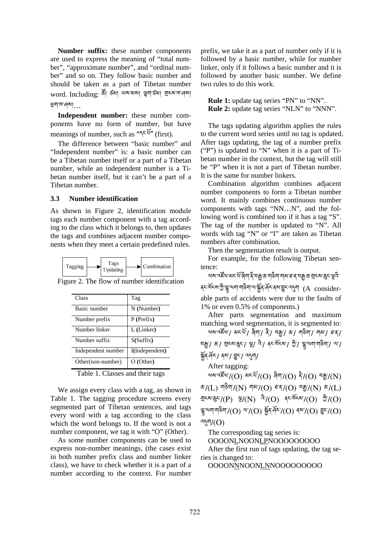**Number suffix:** these number components are used to express the meaning of "total number", "approximate number", and "ordinal number" and so on. They follow basic number and should be taken as a part of Tibetan number word. Including: জী ওঁৰা অৰাজৰা ভ্লুবাৰ্ডৰা গ্ৰুহৰাত্ৰানৰ ཕྲག་ཁ་ཤས།…

**Independent number:** these number components have no form of number, but have meanings of number, such as " $55\frac{2}{10}$ " (first).

The difference between "basic number" and "Independent number" is: a basic number can be a Tibetan number itself or a part of a Tibetan number, while an independent number is a Tibetan number itself, but it can't be a part of a Tibetan number.

#### **3.3 Number identification**

As shown in Figure 2, identification module tags each number component with a tag according to the class which it belongs to, then updates the tags and combines adjacent number components when they meet a certain predefined rules.



Figure 2. The flow of number identification

| Class              | Tag            |
|--------------------|----------------|
| Basic number       | N (Number)     |
| Number prefix      | $P$ (Prefix)   |
| Number linker      | L (Linker)     |
| Number suffix      | S(Suffix)      |
| Independent number | I(Independent) |
| Other(non-number)  | O (Other)      |

Table 1. Classes and their tags

We assign every class with a tag, as shown in Table 1. The tagging procedure screens every segmented part of Tibetan sentences, and tags every word with a tag according to the class which the word belongs to. If the word is not a number component, we tag it with "O" (Other).

As some number components can be used to express non-number meanings, (the cases exist in both number prefix class and number linker class), we have to check whether it is a part of a number according to the context. For number

prefix, we take it as a part of number only if it is followed by a basic number, while for number linker, only if it follows a basic number and it is followed by another basic number. We define two rules to do this work.

**Rule 1:** update tag series "PN" to "NN". **Rule 2:** update tag series "NLN" to "NNN".

The tags updating algorithm applies the rules to the current word series until no tag is updated. After tags updating, the tag of a number prefix ("P") is updated to "N" when it is a part of Tibetan number in the context, but the tag will still be "P" when it is not a part of Tibetan number. It is the same for number linkers.

Combination algorithm combines adjacent number components to form a Tibetan number word. It mainly combines continuous number components with tags "NN…N", and the following word is combined too if it has a tag "S". The tag of the number is updated to "N". All words with tag "N" or "I" are taken as Tibetan numbers after combination.

Then the segmentation result is output.

For example, for the following Tibetan sentence:

অমান্ত্ৰ্যুত্মান্ত্ৰ্য মন্ত্ৰীৰ বিশ্বজিত ব্যৱস্থা আৰু বিশ্বজিত ব্যৱস্থা কৰি কৰি ক্ষর্তি জুর্জু অব্যবাসী কর্তৃ কর্তৃ কর্তৃ বিদ্যালয় (A considerable parts of accidents were due to the faults of 1% or even 0.5% of components.)

After parts segmentation and maximum matching word segmentation, it is segmented to:  $\alpha$ মরাবার্ষিণ / মনার্মা / জীবা / বিদ্রা / কা $\gamma$  মারা / বারা / বারা /  $\alpha$ 

བརྒྱ་/ ཆ་/ གྲངས་ཆུང་/ ལྔ/ འི་/ ནང་ཁོངས་/ ཀྱི་/ ལྷུ་ལག་གཅིག་/ ལ་/ སྐྱོན་ཤོར་/ ནས་/ བྱུང་/ འདུག/

After tagging:

 $\mathbb{R}^n$ ବାବାର $\widetilde{\mathbb{Z}}^n$ (O)  $\mathbb{R}^n$ (O)  $\widetilde{\mathbb{Z}}^n$ (O)  $\widetilde{\mathbb{Z}}^n$ (O)  $\mathbb{Z}^n_2$  $E/(L)$  ন $\frac{2\pi}{3}$ (N) নাম'/(O)  $\frac{2\pi}{3}$ (O)  $\frac{2\pi}{3}$ (N)  $E/(L)$ ন্ম-ম'ক্ক্ৰ্ন'/(P) ৠ/(N)  $\hat{A}'$ /(O)  $\Phi'(\hat{O})$   $\hat{B}'$ /(O)  $\frac{18}{3}$ २५वा या डैवा $7$ (O) २४ $7$ (O)  $\frac{25}{3}$ (O)  $\frac{25}{3}$ (O)  $\frac{25}{3}$ འདུག/(O)

The corresponding tag series is:

```
OOOONLNOONLPNOOOOOOOOO
```
After the first run of tags updating, the tag series is changed to:

OOOONNNOONLNNOOOOOOOOO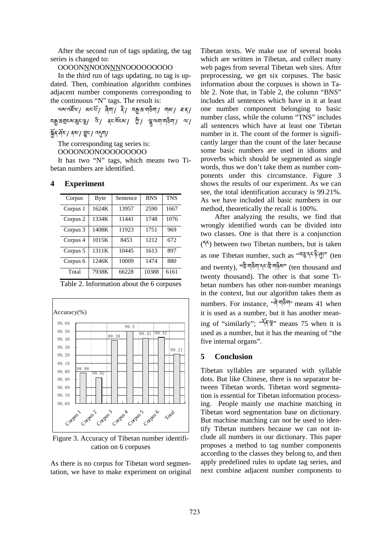After the second run of tags updating, the tag series is changed to:

### OOOONNNOONNNNOOOOOOOOO

In the third run of tags updating, no tag is updated. Then, combination algorithm combines adjacent number components corresponding to the continuous "N" tags. The result is:

থমান্দ্র্যা কাম্পা জিলা জিলা কাম্পালী বাৰা কাৰী খখ্যী ভ্ৰম্ন প্ৰাৰ্জ্য কৰা বিভিন্ন কৰা হৈছে। এই বিভিন্ন প্ৰাৰ্থ কৰা বিভিন্ন প্ৰাৰ্থ কৰা বিভিন্ন প্ৰাৰ্থ কৰা বি སྐྱོན་ཤོར་/ ནས་/ བྱུང་/ འདུག/

The corresponding tag series is:

OOOONOONOOOOOOOOO

It has two "N" tags, which means two Tibetan numbers are identified.

#### **4 Experiment**

| Corpus   | <b>Byte</b> | Sentence | <b>BNS</b> | <b>TNS</b> |
|----------|-------------|----------|------------|------------|
| Corpus 1 | 1624K       | 13957    | 2590       | 1667       |
| Corpus 2 | 1334K       | 11441    | 1748       | 1076       |
| Corpus 3 | 1408K       | 11923    | 1751       | 969        |
| Corpus 4 | 1015K       | 8453     | 12.12      | 672        |
| Corpus 5 | 1311K       | 10445    | 1613       | 897        |
| Corpus 6 | 1246K       | 10009    | 1474       | 880        |
| Total    | 7938K       | 66228    | 10388      | 6161       |

Table 2. Information about the 6 corpuses



Figure 3. Accuracy of Tibetan number identification on 6 corpuses

As there is no corpus for Tibetan word segmentation, we have to make experiment on original Tibetan texts. We make use of several books which are written in Tibetan, and collect many web pages from several Tibetan web sites. After preprocessing, we get six corpuses. The basic information about the corpuses is shown in Table 2. Note that, in Table 2, the column "BNS" includes all sentences which have in it at least one number component belonging to basic number class, while the column "TNS" includes all sentences which have at least one Tibetan number in it. The count of the former is significantly larger than the count of the later because some basic numbers are used in idioms and proverbs which should be segmented as single words, thus we don't take them as number components under this circumstance. Figure 3 shows the results of our experiment. As we can see, the total identification accuracy is 99.21%. As we have included all basic numbers in our method, theoretically the recall is 100%.

After analyzing the results, we find that wrongly identified words can be divided into two classes. One is that there is a conjunction (དང) between two Tibetan numbers, but is taken as one Tibetan number, such as "བཅུ་དང་ཉི་ཤུ།" (ten and twenty), "ཁྲི་གཅིག་དང་ཁྲི་གཉིས" (ten thousand and twenty thousand). The other is that some Tibetan numbers has other non-number meanings in the context, but our algorithm takes them as numbers. For instance, "बे<sup>'बा</sup>र्डेश" means 41 when it is used as a number, but it has another meaning of "similarly"; "དོན་ལྲྲ" means 75 when it is used as a number, but it has the meaning of "the five internal organs".

#### **5 Conclusion**

Tibetan syllables are separated with syllable dots. But like Chinese, there is no separator between Tibetan words. Tibetan word segmentation is essential for Tibetan information processing. People mainly use machine matching in Tibetan word segmentation base on dictionary. But machine matching can not be used to identify Tibetan numbers because we can not include all numbers in our dictionary. This paper proposes a method to tag number components according to the classes they belong to, and then apply predefined rules to update tag series, and next combine adjacent number components to